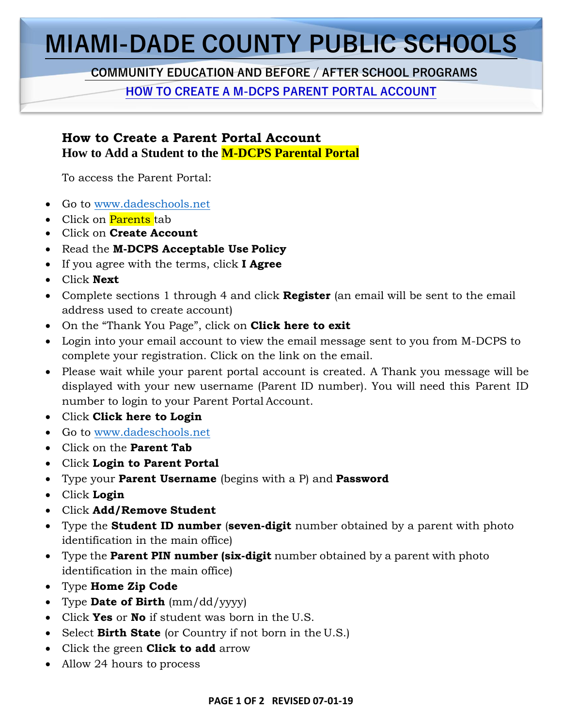## **MIAMI-DADE COUNTY PUBLIC SCHOOLS**

 **COMMUNITY EDUCATION AND BEFORE / AFTER SCHOOL PROGRAMS**

**HOW TO CREATE A M-DCPS PARENT PORTAL ACCOUNT**

## **How to Create a Parent Portal Account How to Add a Student to the M-DCPS Parental Portal**

To access the Parent Portal:

- Go to [www.dadeschools.net](http://www.dadeschools.net/)
- Click on Parents tab
- Click on **Create Account**
- Read the **M-DCPS Acceptable Use Policy**
- If you agree with the terms, click **I Agree**
- Click **Next**
- Complete sections 1 through 4 and click **Register** (an email will be sent to the email address used to create account)
- On the "Thank You Page", click on **Click here to exit**
- Login into your email account to view the email message sent to you from M-DCPS to complete your registration. Click on the link on the email.
- Please wait while your parent portal account is created. A Thank you message will be displayed with your new username (Parent ID number). You will need this Parent ID number to login to your Parent Portal Account.
- Click **Click here to Login**
- Go to [www.dadeschools.net](http://www.dadeschools.net/)
- Click on the **Parent Tab**
- Click **Login to Parent Portal**
- Type your **Parent Username** (begins with a P) and **Password**
- Click **Login**
- Click **Add/Remove Student**
- Type the **Student ID number** (**seven-digit** number obtained by a parent with photo identification in the main office)
- Type the **Parent PIN number (six-digit** number obtained by a parent with photo identification in the main office)
- Type **Home Zip Code**
- Type **Date of Birth** (mm/dd/yyyy)
- Click **Yes** or **No** if student was born in the U.S.
- Select **Birth State** (or Country if not born in the U.S.)
- Click the green **Click to add** arrow
- Allow 24 hours to process